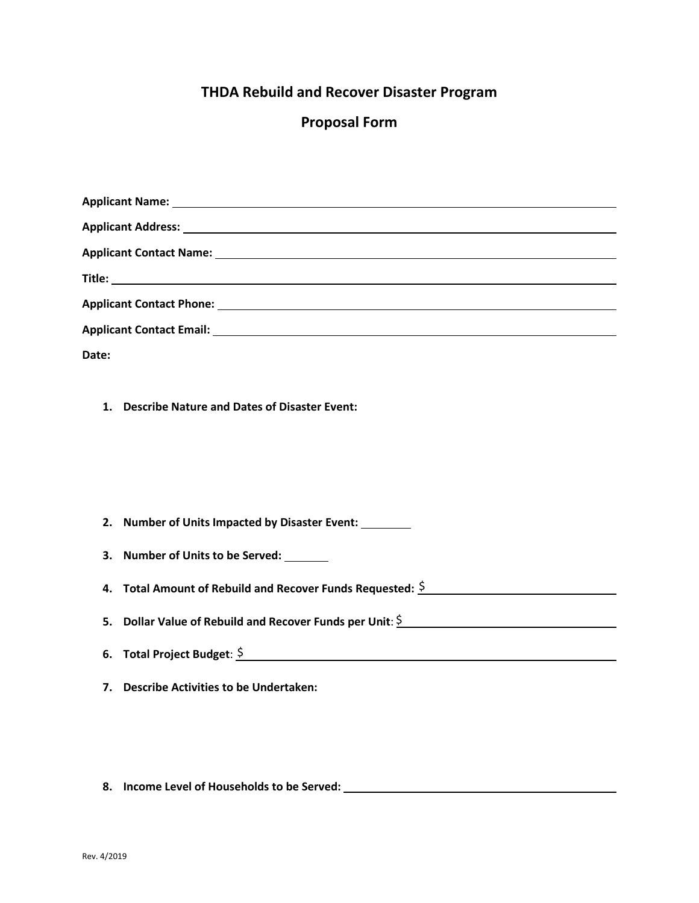## **THDA Rebuild and Recover Disaster Program**

## **Proposal Form**

| Date:                                                                    |  |  |  |  |  |
|--------------------------------------------------------------------------|--|--|--|--|--|
| 1 <sub>1</sub><br>Describe Nature and Dates of Disaster Event:           |  |  |  |  |  |
| 2. Number of Units Impacted by Disaster Event:                           |  |  |  |  |  |
| 3. Number of Units to be Served:                                         |  |  |  |  |  |
| Total Amount of Rebuild and Recover Funds Requested: $\frac{5}{2}$<br>4. |  |  |  |  |  |
| Dollar Value of Rebuild and Recover Funds per Unit: $\frac{5}{2}$<br>5.  |  |  |  |  |  |
| 6. Total Project Budget: $\frac{5}{2}$                                   |  |  |  |  |  |
| 7. Describe Activities to be Undertaken:                                 |  |  |  |  |  |

**8. Income Level of Households to be Served:**